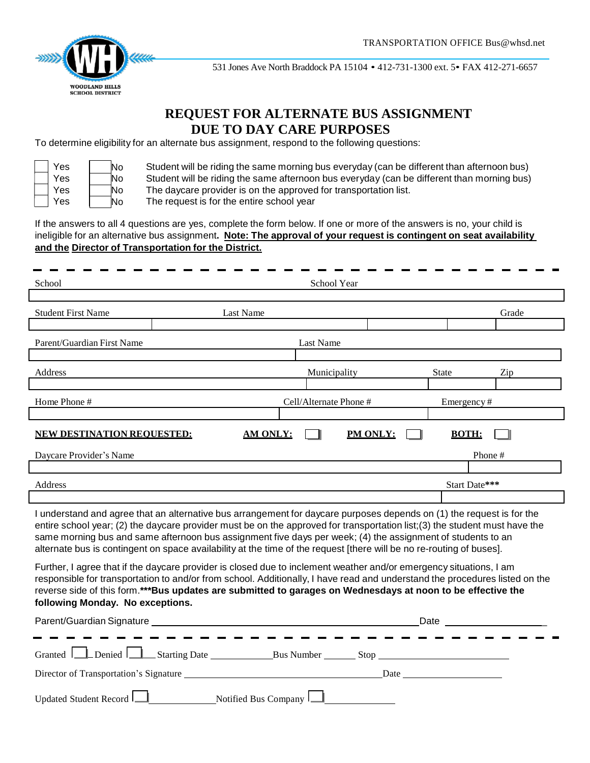

531 Jones Ave North Braddock PA 15104 • 412-731-1300 ext. 5• FAX 412-271-6657

# **REQUEST FOR ALTERNATE BUS ASSIGNMENT DUE TO DAY CARE PURPOSES**

To determine eligibility for an alternate bus assignment, respond to the following questions:

| Yes | No |
|-----|----|
| Yes | N٥ |
| Yes | No |
| Yes | J٥ |

Student will be riding the same morning bus everyday (can be different than afternoon bus) Student will be riding the same afternoon bus everyday (can be different than morning bus) The daycare provider is on the approved for transportation list.

The request is for the entire school year

If the answers to all 4 questions are yes, complete the form below. If one or more of the answers is no, your child is ineligible for an alternative bus assignment**. Note: The approval of your request is contingent on seat availability and the Director of Transportation for the District.**

| School                                                                                                                                                                                                                                                                                                                                                                                                                                                                                      |                 | School Year            |          |                                                                                                                 |               |  |
|---------------------------------------------------------------------------------------------------------------------------------------------------------------------------------------------------------------------------------------------------------------------------------------------------------------------------------------------------------------------------------------------------------------------------------------------------------------------------------------------|-----------------|------------------------|----------|-----------------------------------------------------------------------------------------------------------------|---------------|--|
|                                                                                                                                                                                                                                                                                                                                                                                                                                                                                             |                 |                        |          |                                                                                                                 |               |  |
| <b>Student First Name</b>                                                                                                                                                                                                                                                                                                                                                                                                                                                                   | Last Name       |                        |          |                                                                                                                 | Grade         |  |
|                                                                                                                                                                                                                                                                                                                                                                                                                                                                                             |                 |                        |          |                                                                                                                 |               |  |
| Parent/Guardian First Name                                                                                                                                                                                                                                                                                                                                                                                                                                                                  |                 | Last Name              |          |                                                                                                                 |               |  |
|                                                                                                                                                                                                                                                                                                                                                                                                                                                                                             |                 |                        |          |                                                                                                                 |               |  |
| Address                                                                                                                                                                                                                                                                                                                                                                                                                                                                                     |                 | Municipality           |          | <b>State</b>                                                                                                    | Zip           |  |
|                                                                                                                                                                                                                                                                                                                                                                                                                                                                                             |                 |                        |          |                                                                                                                 |               |  |
| Home Phone #                                                                                                                                                                                                                                                                                                                                                                                                                                                                                |                 | Cell/Alternate Phone # |          | Emergency#                                                                                                      |               |  |
|                                                                                                                                                                                                                                                                                                                                                                                                                                                                                             |                 |                        |          |                                                                                                                 |               |  |
| <b>NEW DESTINATION REOUESTED:</b>                                                                                                                                                                                                                                                                                                                                                                                                                                                           | <b>AM ONLY:</b> |                        | PM ONLY: | <b>BOTH:</b>                                                                                                    |               |  |
| Daycare Provider's Name                                                                                                                                                                                                                                                                                                                                                                                                                                                                     |                 |                        |          |                                                                                                                 | Phone#        |  |
|                                                                                                                                                                                                                                                                                                                                                                                                                                                                                             |                 |                        |          |                                                                                                                 |               |  |
| Address                                                                                                                                                                                                                                                                                                                                                                                                                                                                                     |                 |                        |          |                                                                                                                 | Start Date*** |  |
|                                                                                                                                                                                                                                                                                                                                                                                                                                                                                             |                 |                        |          |                                                                                                                 |               |  |
| I understand and agree that an alternative bus arrangement for daycare purposes depends on (1) the request is for the<br>entire school year; (2) the daycare provider must be on the approved for transportation list; (3) the student must have the<br>same morning bus and same afternoon bus assignment five days per week; (4) the assignment of students to an<br>alternate bus is contingent on space availability at the time of the request [there will be no re-routing of buses]. |                 |                        |          |                                                                                                                 |               |  |
| Further, I agree that if the daycare provider is closed due to inclement weather and/or emergency situations, I am<br>responsible for transportation to and/or from school. Additionally, I have read and understand the procedures listed on the<br>reverse side of this form.***Bus updates are submitted to garages on Wednesdays at noon to be effective the<br>following Monday. No exceptions.                                                                                        |                 |                        |          |                                                                                                                 |               |  |
|                                                                                                                                                                                                                                                                                                                                                                                                                                                                                             |                 |                        |          | Date and the state of the state of the state of the state of the state of the state of the state of the state o |               |  |
|                                                                                                                                                                                                                                                                                                                                                                                                                                                                                             |                 |                        |          |                                                                                                                 |               |  |
|                                                                                                                                                                                                                                                                                                                                                                                                                                                                                             |                 |                        |          |                                                                                                                 |               |  |
| Director of Transportation's Signature                                                                                                                                                                                                                                                                                                                                                                                                                                                      |                 |                        | Date     |                                                                                                                 |               |  |

| Updated Student Record | Notified Bus Company $\mathsf{I}_n$ |  |
|------------------------|-------------------------------------|--|